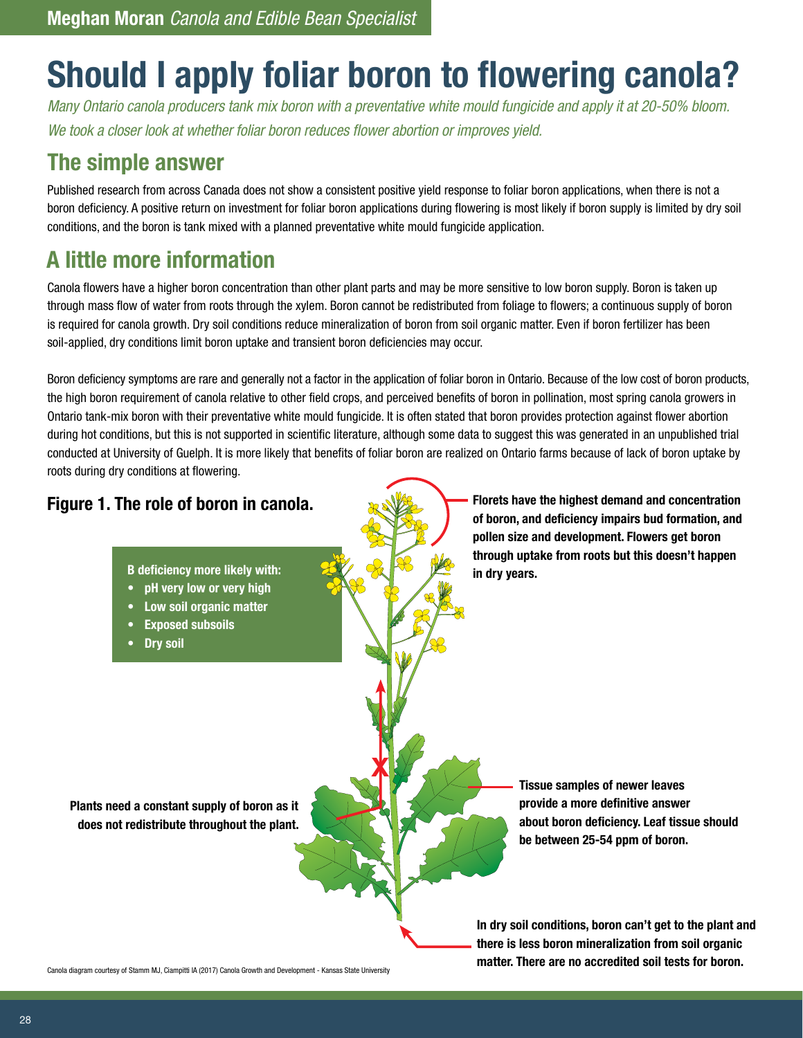# **Should I apply foliar boron to flowering canola?**

*Many Ontario canola producers tank mix boron with a preventative white mould fungicide and apply it at 20-50% bloom. We took a closer look at whether foliar boron reduces flower abortion or improves yield.*

### **The simple answer**

Published research from across Canada does not show a consistent positive yield response to foliar boron applications, when there is not a boron deficiency. A positive return on investment for foliar boron applications during flowering is most likely if boron supply is limited by dry soil conditions, and the boron is tank mixed with a planned preventative white mould fungicide application.

# **A little more information**

Canola flowers have a higher boron concentration than other plant parts and may be more sensitive to low boron supply. Boron is taken up through mass flow of water from roots through the xylem. Boron cannot be redistributed from foliage to flowers; a continuous supply of boron is required for canola growth. Dry soil conditions reduce mineralization of boron from soil organic matter. Even if boron fertilizer has been soil-applied, dry conditions limit boron uptake and transient boron deficiencies may occur.

Boron deficiency symptoms are rare and generally not a factor in the application of foliar boron in Ontario. Because of the low cost of boron products, the high boron requirement of canola relative to other field crops, and perceived benefits of boron in pollination, most spring canola growers in Ontario tank-mix boron with their preventative white mould fungicide. It is often stated that boron provides protection against flower abortion during hot conditions, but this is not supported in scientific literature, although some data to suggest this was generated in an unpublished trial conducted at University of Guelph. It is more likely that benefits of foliar boron are realized on Ontario farms because of lack of boron uptake by roots during dry conditions at flowering.



Canola diagram courtesy of Stamm MJ, Ciampitti IA (2017) Canola Growth and Development - Kansas State University